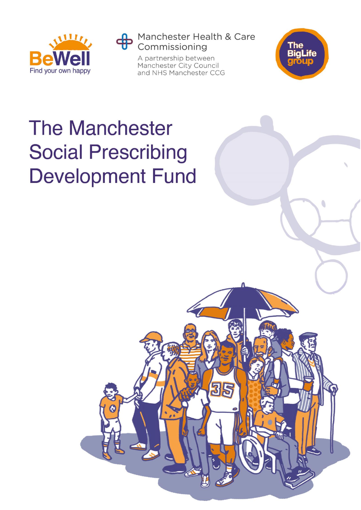

Manchester Health & Care Commissioning

315

A partnership between Manchester City Council and NHS Manchester CCG



O

# **The Manchester Social Prescribing Development Fund**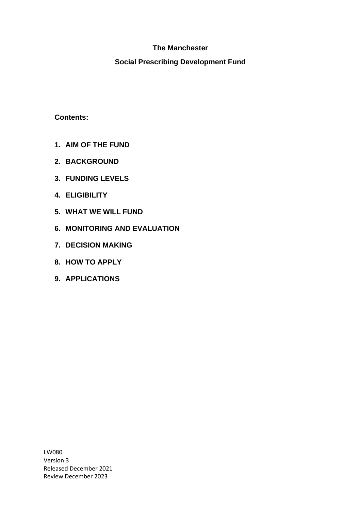# **The Manchester**

#### **Social Prescribing Development Fund**

**Contents:**

- **1. AIM OF THE FUND**
- **2. BACKGROUND**
- **3. FUNDING LEVELS**
- **4. ELIGIBILITY**
- **5. WHAT WE WILL FUND**
- **6. MONITORING AND EVALUATION**
- **7. DECISION MAKING**
- **8. HOW TO APPLY**
- **9. APPLICATIONS**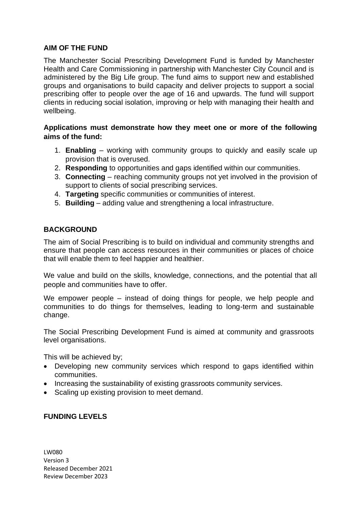#### **AIM OF THE FUND**

The Manchester Social Prescribing Development Fund is funded by Manchester Health and Care Commissioning in partnership with Manchester City Council and is administered by the Big Life group. The fund aims to support new and established groups and organisations to build capacity and deliver projects to support a social prescribing offer to people over the age of 16 and upwards. The fund will support clients in reducing social isolation, improving or help with managing their health and wellbeing.

#### **Applications must demonstrate how they meet one or more of the following aims of the fund:**

- 1. **Enabling** working with community groups to quickly and easily scale up provision that is overused.
- 2. **Responding** to opportunities and gaps identified within our communities.
- 3. **Connecting** reaching community groups not yet involved in the provision of support to clients of social prescribing services.
- 4. **Targeting** specific communities or communities of interest.
- 5. **Building** adding value and strengthening a local infrastructure.

#### **BACKGROUND**

The aim of Social Prescribing is to build on individual and community strengths and ensure that people can access resources in their communities or places of choice that will enable them to feel happier and healthier.

We value and build on the skills, knowledge, connections, and the potential that all people and communities have to offer.

We empower people – instead of doing things for people, we help people and communities to do things for themselves, leading to long-term and sustainable change.

The Social Prescribing Development Fund is aimed at community and grassroots level organisations.

This will be achieved by;

- Developing new community services which respond to gaps identified within communities.
- Increasing the sustainability of existing grassroots community services.
- Scaling up existing provision to meet demand.

# **FUNDING LEVELS**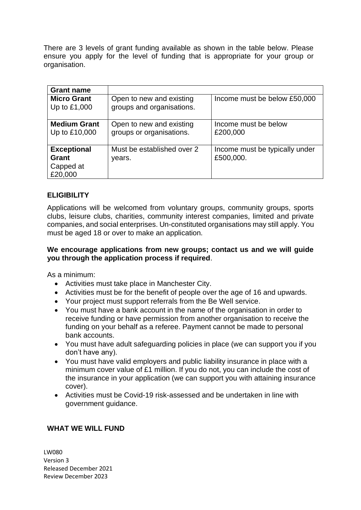There are 3 levels of grant funding available as shown in the table below. Please ensure you apply for the level of funding that is appropriate for your group or organisation.

| <b>Grant name</b>                                   |                                                       |                                             |
|-----------------------------------------------------|-------------------------------------------------------|---------------------------------------------|
| <b>Micro Grant</b><br>Up to £1,000                  | Open to new and existing<br>groups and organisations. | Income must be below £50,000                |
| <b>Medium Grant</b><br>Up to £10,000                | Open to new and existing<br>groups or organisations.  | Income must be below<br>£200,000            |
| <b>Exceptional</b><br>Grant<br>Capped at<br>£20,000 | Must be established over 2<br>years.                  | Income must be typically under<br>£500,000. |

# **ELIGIBILITY**

Applications will be welcomed from voluntary groups, community groups, sports clubs, leisure clubs, charities, community interest companies, limited and private companies, and social enterprises. Un-constituted organisations may still apply. You must be aged 18 or over to make an application.

#### **We encourage applications from new groups; contact us and we will guide you through the application process if required**.

As a minimum:

- Activities must take place in Manchester City.
- Activities must be for the benefit of people over the age of 16 and upwards.
- Your project must support referrals from the Be Well service.
- You must have a bank account in the name of the organisation in order to receive funding or have permission from another organisation to receive the funding on your behalf as a referee. Payment cannot be made to personal bank accounts.
- You must have adult safeguarding policies in place (we can support you if you don't have any).
- You must have valid employers and public liability insurance in place with a minimum cover value of £1 million. If you do not, you can include the cost of the insurance in your application (we can support you with attaining insurance cover).
- Activities must be Covid-19 risk-assessed and be undertaken in line with government guidance.

# **WHAT WE WILL FUND**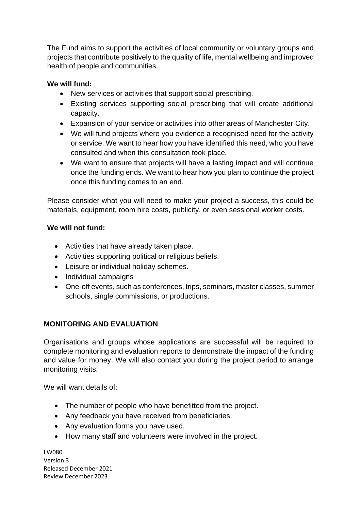The Fund aims to support the activities of local community or voluntary groups and projects that contribute positively to the quality of life, mental wellbeing and improved health of people and communities.

# **We will fund:**

- New services or activities that support social prescribing.
- Existing services supporting social prescribing that will create additional capacity.
- Expansion of your service or activities into other areas of Manchester City.
- We will fund projects where you evidence a recognised need for the activity or service. We want to hear how you have identified this need, who you have consulted and when this consultation took place.
- We want to ensure that projects will have a lasting impact and will continue once the funding ends. We want to hear how you plan to continue the project once this funding comes to an end.

Please consider what you will need to make your project a success, this could be materials, equipment, room hire costs, publicity, or even sessional worker costs.

# **We will not fund:**

- Activities that have already taken place.
- Activities supporting political or religious beliefs.
- Leisure or individual holiday schemes.
- Individual campaigns
- One-off events, such as conferences, trips, seminars, master classes, summer schools, single commissions, or productions.

# **MONITORING AND EVALUATION**

Organisations and groups whose applications are successful will be required to complete monitoring and evaluation reports to demonstrate the impact of the funding and value for money. We will also contact you during the project period to arrange monitoring visits.

We will want details of:

- The number of people who have benefitted from the project.
- Any feedback you have received from beneficiaries.
- Any evaluation forms you have used.
- How many staff and volunteers were involved in the project.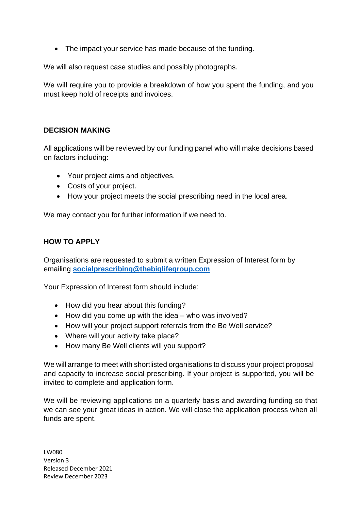• The impact your service has made because of the funding.

We will also request case studies and possibly photographs.

We will require you to provide a breakdown of how you spent the funding, and you must keep hold of receipts and invoices.

#### **DECISION MAKING**

All applications will be reviewed by our funding panel who will make decisions based on factors including:

- Your project aims and objectives.
- Costs of your project.
- How your project meets the social prescribing need in the local area.

We may contact you for further information if we need to.

#### **HOW TO APPLY**

Organisations are requested to submit a written Expression of Interest form by emailing **[socialprescribing@thebiglifegroup.com](mailto:socialprescribing@thebiglifegroup.com)**

Your Expression of Interest form should include:

- How did you hear about this funding?
- How did you come up with the idea who was involved?
- How will your project support referrals from the Be Well service?
- Where will your activity take place?
- How many Be Well clients will you support?

We will arrange to meet with shortlisted organisations to discuss your project proposal and capacity to increase social prescribing. If your project is supported, you will be invited to complete and application form.

We will be reviewing applications on a quarterly basis and awarding funding so that we can see your great ideas in action. We will close the application process when all funds are spent.